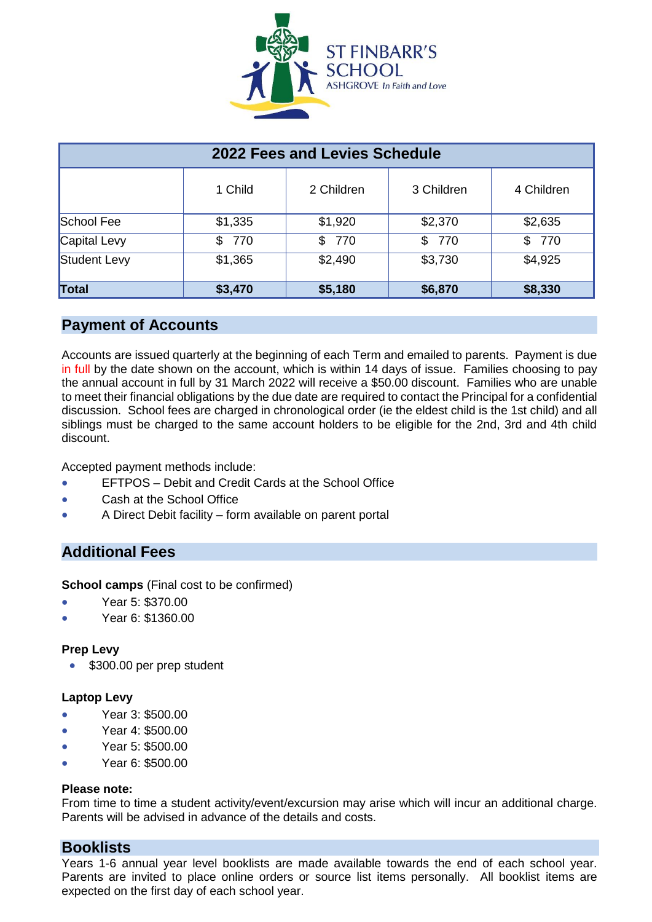

| 2022 Fees and Levies Schedule |            |            |            |            |
|-------------------------------|------------|------------|------------|------------|
|                               | 1 Child    | 2 Children | 3 Children | 4 Children |
| School Fee                    | \$1,335    | \$1,920    | \$2,370    | \$2,635    |
| Capital Levy                  | 770<br>\$. | \$ 770     | \$ 770     | \$770      |
| Student Levy                  | \$1,365    | \$2,490    | \$3,730    | \$4,925    |
| Total                         | \$3,470    | \$5,180    | \$6,870    | \$8,330    |

# **Payment of Accounts**

Accounts are issued quarterly at the beginning of each Term and emailed to parents. Payment is due in full by the date shown on the account, which is within 14 days of issue. Families choosing to pay the annual account in full by 31 March 2022 will receive a \$50.00 discount. Families who are unable to meet their financial obligations by the due date are required to contact the Principal for a confidential discussion. School fees are charged in chronological order (ie the eldest child is the 1st child) and all siblings must be charged to the same account holders to be eligible for the 2nd, 3rd and 4th child discount.

Accepted payment methods include:

- EFTPOS Debit and Credit Cards at the School Office
- Cash at the School Office
- A Direct Debit facility form available on parent portal

# **Additional Fees**

**School camps** (Final cost to be confirmed)

- Year 5: \$370.00
- Year 6: \$1360.00

### **Prep Levy**

\$300.00 per prep student

### **Laptop Levy**

- Year 3: \$500.00
- Year 4: \$500.00
- Year 5: \$500.00
- Year 6: \$500.00

### **Please note:**

From time to time a student activity/event/excursion may arise which will incur an additional charge. Parents will be advised in advance of the details and costs.

# **Booklists**

Years 1-6 annual year level booklists are made available towards the end of each school year. Parents are invited to place online orders or source list items personally. All booklist items are expected on the first day of each school year.